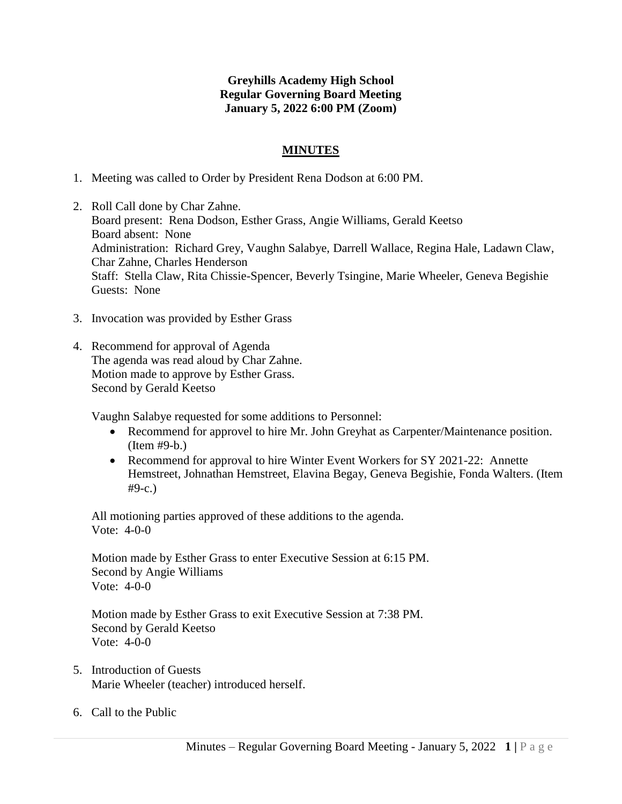## **Greyhills Academy High School Regular Governing Board Meeting January 5, 2022 6:00 PM (Zoom)**

## **MINUTES**

- 1. Meeting was called to Order by President Rena Dodson at 6:00 PM.
- 2. Roll Call done by Char Zahne. Board present: Rena Dodson, Esther Grass, Angie Williams, Gerald Keetso Board absent: None Administration: Richard Grey, Vaughn Salabye, Darrell Wallace, Regina Hale, Ladawn Claw, Char Zahne, Charles Henderson Staff: Stella Claw, Rita Chissie-Spencer, Beverly Tsingine, Marie Wheeler, Geneva Begishie Guests: None
- 3. Invocation was provided by Esther Grass
- 4. Recommend for approval of Agenda The agenda was read aloud by Char Zahne. Motion made to approve by Esther Grass. Second by Gerald Keetso

Vaughn Salabye requested for some additions to Personnel:

- Recommend for approvel to hire Mr. John Greyhat as Carpenter/Maintenance position. (Item #9-b.)
- Recommend for approval to hire Winter Event Workers for SY 2021-22: Annette Hemstreet, Johnathan Hemstreet, Elavina Begay, Geneva Begishie, Fonda Walters. (Item #9-c.)

All motioning parties approved of these additions to the agenda. Vote: 4-0-0

Motion made by Esther Grass to enter Executive Session at 6:15 PM. Second by Angie Williams Vote: 4-0-0

Motion made by Esther Grass to exit Executive Session at 7:38 PM. Second by Gerald Keetso Vote: 4-0-0

- 5. Introduction of Guests Marie Wheeler (teacher) introduced herself.
- 6. Call to the Public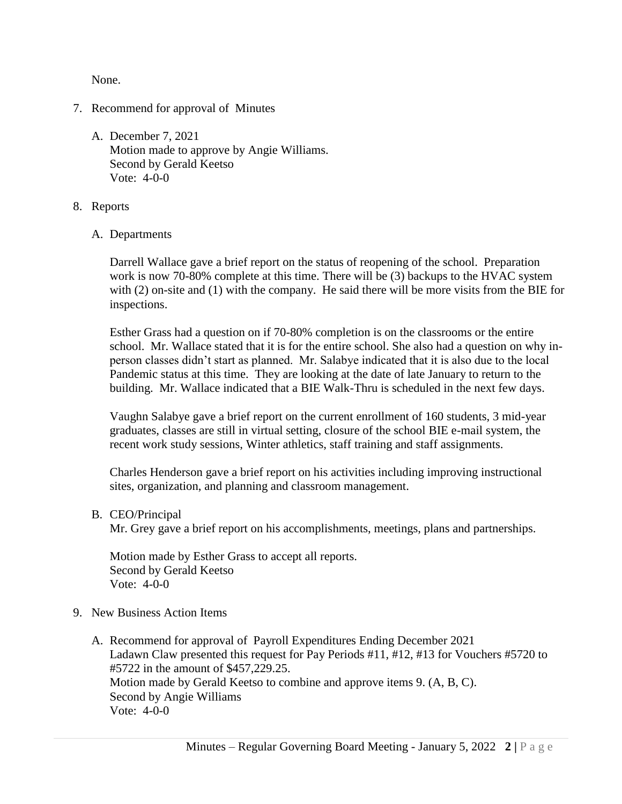None.

- 7. Recommend for approval of Minutes
	- A. December 7, 2021 Motion made to approve by Angie Williams. Second by Gerald Keetso Vote: 4-0-0
- 8. Reports
	- A. Departments

Darrell Wallace gave a brief report on the status of reopening of the school. Preparation work is now 70-80% complete at this time. There will be (3) backups to the HVAC system with (2) on-site and (1) with the company. He said there will be more visits from the BIE for inspections.

Esther Grass had a question on if 70-80% completion is on the classrooms or the entire school. Mr. Wallace stated that it is for the entire school. She also had a question on why inperson classes didn't start as planned. Mr. Salabye indicated that it is also due to the local Pandemic status at this time. They are looking at the date of late January to return to the building. Mr. Wallace indicated that a BIE Walk-Thru is scheduled in the next few days.

Vaughn Salabye gave a brief report on the current enrollment of 160 students, 3 mid-year graduates, classes are still in virtual setting, closure of the school BIE e-mail system, the recent work study sessions, Winter athletics, staff training and staff assignments.

Charles Henderson gave a brief report on his activities including improving instructional sites, organization, and planning and classroom management.

B. CEO/Principal

Mr. Grey gave a brief report on his accomplishments, meetings, plans and partnerships.

Motion made by Esther Grass to accept all reports. Second by Gerald Keetso Vote: 4-0-0

- 9. New Business Action Items
	- A. Recommend for approval of Payroll Expenditures Ending December 2021 Ladawn Claw presented this request for Pay Periods #11, #12, #13 for Vouchers #5720 to #5722 in the amount of \$457,229.25. Motion made by Gerald Keetso to combine and approve items 9. (A, B, C). Second by Angie Williams Vote: 4-0-0